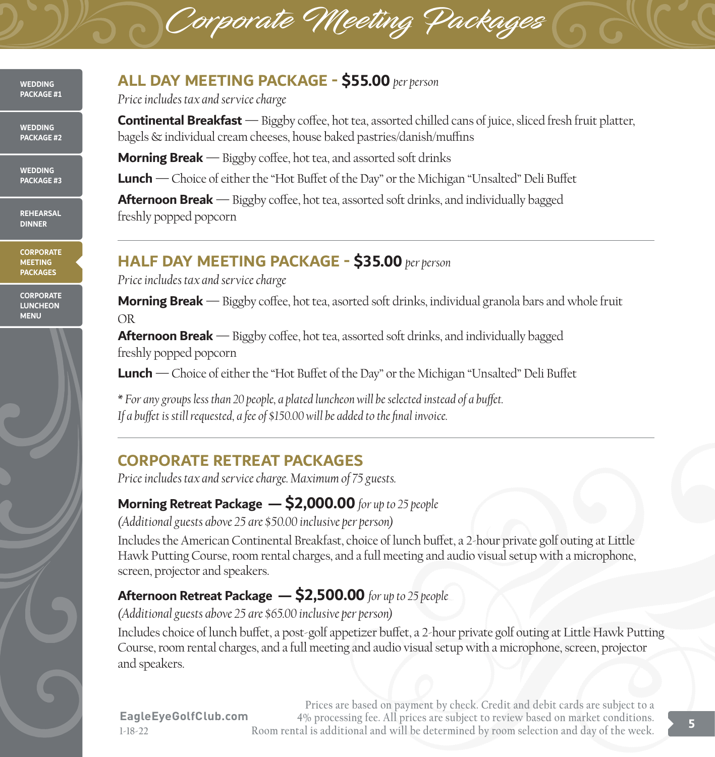#### **WEDDING PACKAGE #1**

**WEDDING PACKAGE #2**

**WEDDING PACKAGE #3**

**REHEARSAL DINNER**

**CORPORATE MEETING PACKAGES**

**CORPORATE LUNCHEON MENU**



### **ALL DAY MEETING PACKAGE - \$55.00** *per person*

*Price includes tax and service charge*

**Continental Breakfast** — Biggby coffee, hot tea, assorted chilled cans of juice, sliced fresh fruit platter, bagels & individual cream cheeses, house baked pastries/danish/muffins

**Morning Break** — Biggby coffee, hot tea, and assorted soft drinks

**Lunch** —Choice of either the "Hot Buffet of the Day" or the Michigan "Unsalted" Deli Buffet

Corporate Meeting Packages

Afternoon Break — Biggby coffee, hot tea, assorted soft drinks, and individually bagged freshly popped popcorn

# **HALF DAY MEETING PACKAGE - \$35.00** *per person*

*Price includes tax and service charge*

**Morning Break** — Biggby coffee, hot tea, asorted soft drinks, individual granola bars and whole fruit OR**\$6**

**Afternoon Break** — Biggby coffee, hot tea, assorted soft drinks, and individually bagged freshly popped popcorn

**Lunch** —Choice of either the "Hot Buffet of the Day" or the Michigan "Unsalted" Deli Buffet**\$6**

*\* For any groups less than 20 people, a plated luncheon will be selected instead of a buffet. If a buffet is still requested, a fee of \$150.00 will be added to the final invoice.***9.**

# **CORPORATE RETREAT PACKAGES**

*Price includes tax and service charge. Maximum of 75 guests.*

## **Morning Retreat Package — \$2,000.00** *for up to 25 people*

*(Additional guests above 25 are \$50.00 inclusive per person)*

Includes the American Continental Breakfast, choice of lunch buffet, a 2-hour private golf outing at Little Hawk Putting Course, room rental charges, and a full meeting and audio visual setup with a microphone, screen, projector and speakers.

# **Afternoon Retreat Package — \$2,500.00** *for up to 25 people*

*(Additional guests above 25 are \$65.00 inclusive per person)*

Includes choice of lunch buffet, a post-golf appetizer buffet, a 2-hour private golf outing at Little Hawk Putting Course, room rental charges, and a full meeting and audio visual setup with a microphone, screen, projector and speakers. **00 9.00 per person**

**Prices are based on payment by check. Credit and debit cards are subject to a 4% processing fee. All prices are subject to review based on market conditions. Room rental is additional and will be determined by room selection and day of the week.**